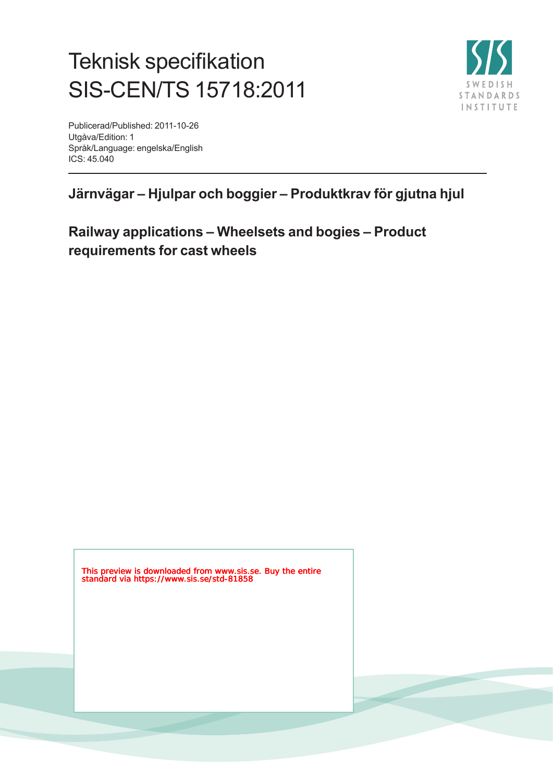# Teknisk specifikation SIS-CEN/TS 15718:2011



Publicerad/Published: 2011-10-26 Utgåva/Edition: 1 Språk/Language: engelska/English ICS: 45.040

**Järnvägar – Hjulpar och boggier – Produktkrav för gjutna hjul**

**Railway applications – Wheelsets and bogies – Product requirements for cast wheels**

This preview is downloaded from www.sis.se. Buy the entire standard via https://www.sis.se/std-81858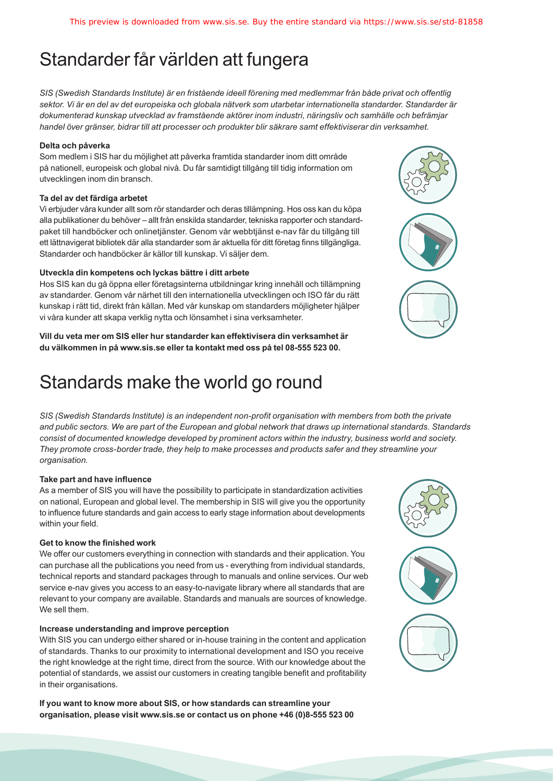## Standarder får världen att fungera

*SIS (Swedish Standards Institute) är en fristående ideell förening med medlemmar från både privat och offentlig sektor. Vi är en del av det europeiska och globala nätverk som utarbetar internationella standarder. Standarder är dokumenterad kunskap utvecklad av framstående aktörer inom industri, näringsliv och samhälle och befrämjar handel över gränser, bidrar till att processer och produkter blir säkrare samt effektiviserar din verksamhet.* 

#### **Delta och påverka**

Som medlem i SIS har du möjlighet att påverka framtida standarder inom ditt område på nationell, europeisk och global nivå. Du får samtidigt tillgång till tidig information om utvecklingen inom din bransch.

### **Ta del av det färdiga arbetet**

Vi erbjuder våra kunder allt som rör standarder och deras tillämpning. Hos oss kan du köpa alla publikationer du behöver – allt från enskilda standarder, tekniska rapporter och standardpaket till handböcker och onlinetjänster. Genom vår webbtjänst e-nav får du tillgång till ett lättnavigerat bibliotek där alla standarder som är aktuella för ditt företag finns tillgängliga. Standarder och handböcker är källor till kunskap. Vi säljer dem.

### **Utveckla din kompetens och lyckas bättre i ditt arbete**

Hos SIS kan du gå öppna eller företagsinterna utbildningar kring innehåll och tillämpning av standarder. Genom vår närhet till den internationella utvecklingen och ISO får du rätt kunskap i rätt tid, direkt från källan. Med vår kunskap om standarders möjligheter hjälper vi våra kunder att skapa verklig nytta och lönsamhet i sina verksamheter.

**Vill du veta mer om SIS eller hur standarder kan effektivisera din verksamhet är du välkommen in på www.sis.se eller ta kontakt med oss på tel 08-555 523 00.**

## Standards make the world go round

*SIS (Swedish Standards Institute) is an independent non-profit organisation with members from both the private and public sectors. We are part of the European and global network that draws up international standards. Standards consist of documented knowledge developed by prominent actors within the industry, business world and society. They promote cross-border trade, they help to make processes and products safer and they streamline your organisation.*

### **Take part and have influence**

As a member of SIS you will have the possibility to participate in standardization activities on national, European and global level. The membership in SIS will give you the opportunity to influence future standards and gain access to early stage information about developments within your field.

#### **Get to know the finished work**

We offer our customers everything in connection with standards and their application. You can purchase all the publications you need from us - everything from individual standards, technical reports and standard packages through to manuals and online services. Our web service e-nav gives you access to an easy-to-navigate library where all standards that are relevant to your company are available. Standards and manuals are sources of knowledge. We sell them.

#### **Increase understanding and improve perception**

With SIS you can undergo either shared or in-house training in the content and application of standards. Thanks to our proximity to international development and ISO you receive the right knowledge at the right time, direct from the source. With our knowledge about the potential of standards, we assist our customers in creating tangible benefit and profitability in their organisations.

**If you want to know more about SIS, or how standards can streamline your organisation, please visit www.sis.se or contact us on phone +46 (0)8-555 523 00**



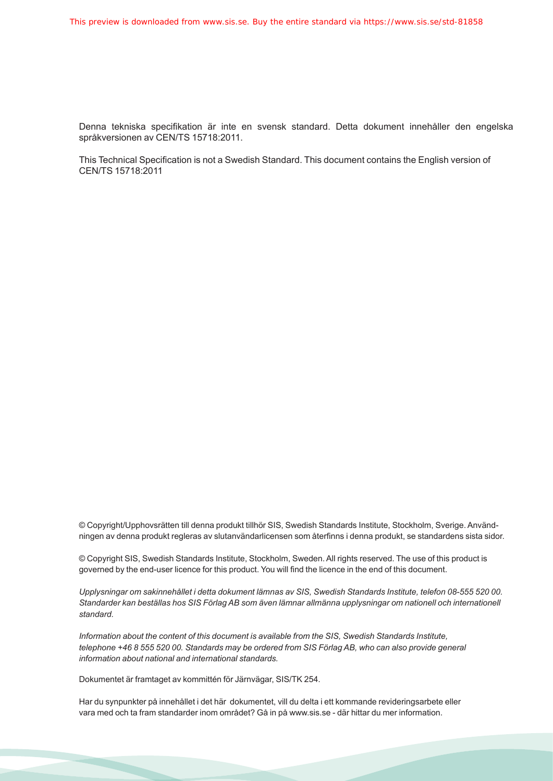Denna tekniska specifikation är inte en svensk standard. Detta dokument innehåller den engelska språkversionen av CEN/TS 15718:2011.

This Technical Specification is not a Swedish Standard. This document contains the English version of CEN/TS 15718:2011

© Copyright/Upphovsrätten till denna produkt tillhör SIS, Swedish Standards Institute, Stockholm, Sverige. Användningen av denna produkt regleras av slutanvändarlicensen som återfinns i denna produkt, se standardens sista sidor.

© Copyright SIS, Swedish Standards Institute, Stockholm, Sweden. All rights reserved. The use of this product is governed by the end-user licence for this product. You will find the licence in the end of this document.

*Upplysningar om sakinnehållet i detta dokument lämnas av SIS, Swedish Standards Institute, telefon 08-555 520 00. Standarder kan beställas hos SIS Förlag AB som även lämnar allmänna upplysningar om nationell och internationell standard.*

*Information about the content of this document is available from the SIS, Swedish Standards Institute, telephone +46 8 555 520 00. Standards may be ordered from SIS Förlag AB, who can also provide general information about national and international standards.*

Dokumentet är framtaget av kommittén för Järnvägar, SIS/TK 254.

Har du synpunkter på innehållet i det här dokumentet, vill du delta i ett kommande revideringsarbete eller vara med och ta fram standarder inom området? Gå in på www.sis.se - där hittar du mer information.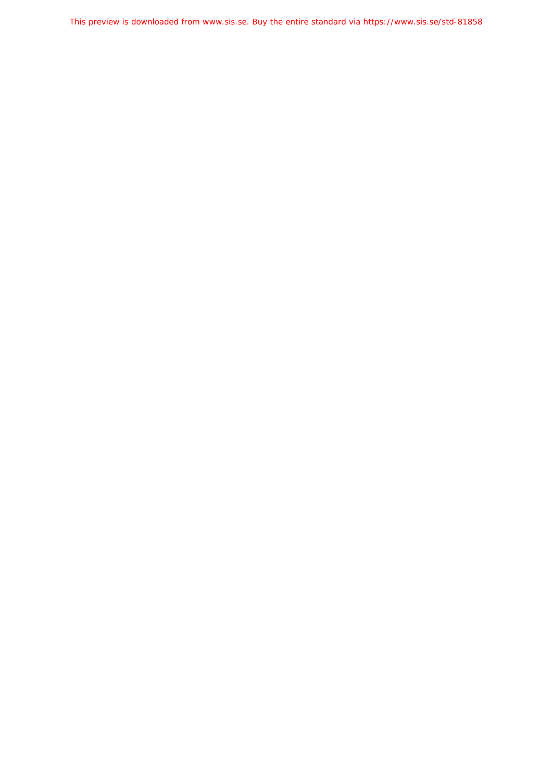This preview is downloaded from www.sis.se. Buy the entire standard via https://www.sis.se/std-81858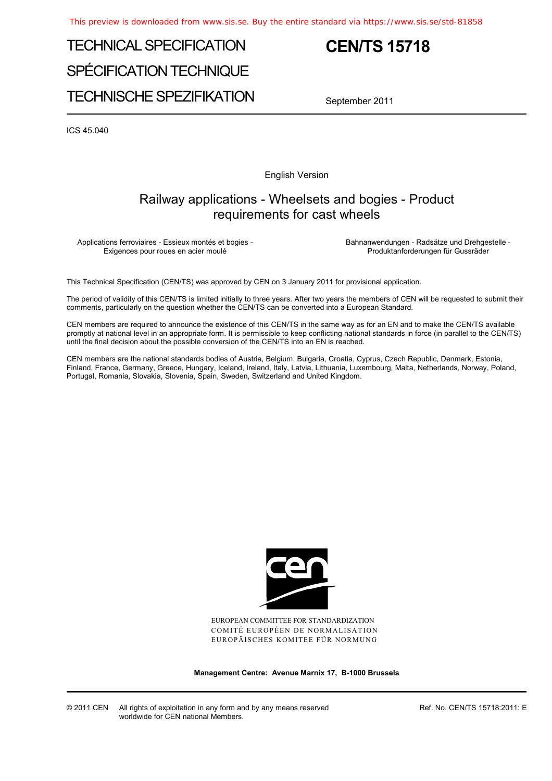## TECHNICAL SPECIFICATION SPÉCIFICATION TECHNIQUE TECHNISCHE SPEZIFIKATION

## **CEN/TS 15718**

September 2011

ICS 45.040

English Version

## Railway applications - Wheelsets and bogies - Product requirements for cast wheels

Applications ferroviaires - Essieux montés et bogies - Exigences pour roues en acier moulé

Bahnanwendungen - Radsätze und Drehgestelle - Produktanforderungen für Gussräder

This Technical Specification (CEN/TS) was approved by CEN on 3 January 2011 for provisional application.

The period of validity of this CEN/TS is limited initially to three years. After two years the members of CEN will be requested to submit their comments, particularly on the question whether the CEN/TS can be converted into a European Standard.

CEN members are required to announce the existence of this CEN/TS in the same way as for an EN and to make the CEN/TS available promptly at national level in an appropriate form. It is permissible to keep conflicting national standards in force (in parallel to the CEN/TS) until the final decision about the possible conversion of the CEN/TS into an EN is reached.

CEN members are the national standards bodies of Austria, Belgium, Bulgaria, Croatia, Cyprus, Czech Republic, Denmark, Estonia, Finland, France, Germany, Greece, Hungary, Iceland, Ireland, Italy, Latvia, Lithuania, Luxembourg, Malta, Netherlands, Norway, Poland, Portugal, Romania, Slovakia, Slovenia, Spain, Sweden, Switzerland and United Kingdom.



EUROPEAN COMMITTEE FOR STANDARDIZATION COMITÉ EUROPÉEN DE NORMALISATION EUROPÄISCHES KOMITEE FÜR NORMUNG

**Management Centre: Avenue Marnix 17, B-1000 Brussels** 

© 2011 CEN All rights of exploitation in any form and by any means reserved worldwide for CEN national Members.

Ref. No. CEN/TS 15718:2011: E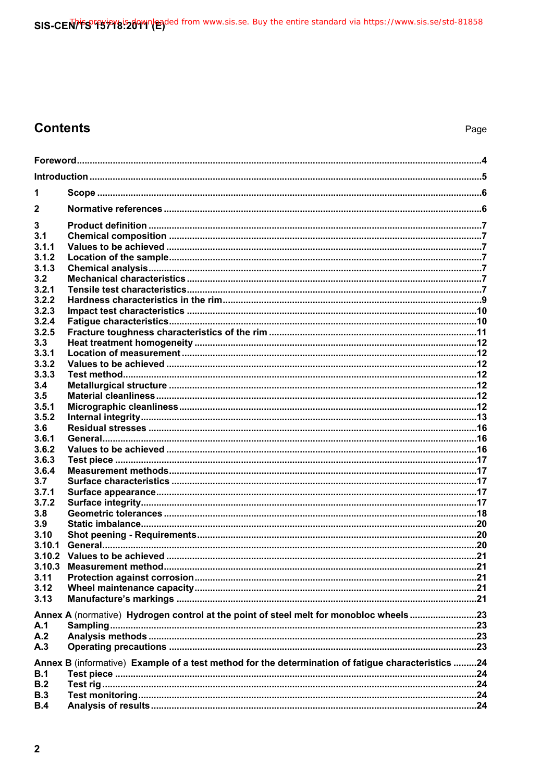SIS-CENTTS T3778:2011 (2) ded from www.sis.se. Buy the entire standard via https://www.sis.se/std-81858

## **Contents**

| $\mathbf{2}$ |                                                                                                    |  |  |  |  |
|--------------|----------------------------------------------------------------------------------------------------|--|--|--|--|
| 3            |                                                                                                    |  |  |  |  |
| 3.1          |                                                                                                    |  |  |  |  |
| 3.1.1        |                                                                                                    |  |  |  |  |
| 3.1.2        |                                                                                                    |  |  |  |  |
| 3.1.3<br>3.2 |                                                                                                    |  |  |  |  |
| 3.2.1        |                                                                                                    |  |  |  |  |
| 3.2.2        |                                                                                                    |  |  |  |  |
| 3.2.3        |                                                                                                    |  |  |  |  |
| 3.2.4        |                                                                                                    |  |  |  |  |
| 3.2.5        |                                                                                                    |  |  |  |  |
| 3.3          |                                                                                                    |  |  |  |  |
| 3.3.1        |                                                                                                    |  |  |  |  |
| 3.3.2        |                                                                                                    |  |  |  |  |
| 3.3.3        |                                                                                                    |  |  |  |  |
| 3.4          |                                                                                                    |  |  |  |  |
| 3.5          |                                                                                                    |  |  |  |  |
| 3.5.1        |                                                                                                    |  |  |  |  |
| 3.5.2        |                                                                                                    |  |  |  |  |
| 3.6          |                                                                                                    |  |  |  |  |
| 3.6.1        |                                                                                                    |  |  |  |  |
| 3.6.2        |                                                                                                    |  |  |  |  |
| 3.6.3        |                                                                                                    |  |  |  |  |
| 3,6.4        |                                                                                                    |  |  |  |  |
| 3.7          |                                                                                                    |  |  |  |  |
| 3.7.1        |                                                                                                    |  |  |  |  |
| 3.7.2<br>3.8 |                                                                                                    |  |  |  |  |
| 3.9          |                                                                                                    |  |  |  |  |
| 3.10         |                                                                                                    |  |  |  |  |
| 3.10.1       |                                                                                                    |  |  |  |  |
| 3.10.2       |                                                                                                    |  |  |  |  |
|              |                                                                                                    |  |  |  |  |
| 3.11         |                                                                                                    |  |  |  |  |
| 3.12         |                                                                                                    |  |  |  |  |
| 3.13         |                                                                                                    |  |  |  |  |
|              | Annex A (normative) Hydrogen control at the point of steel melt for monobloc wheels23              |  |  |  |  |
| A.1          |                                                                                                    |  |  |  |  |
| A.2          |                                                                                                    |  |  |  |  |
| A.3          |                                                                                                    |  |  |  |  |
|              |                                                                                                    |  |  |  |  |
|              | Annex B (informative) Example of a test method for the determination of fatigue characteristics 24 |  |  |  |  |
| B.1          |                                                                                                    |  |  |  |  |
| B.2          |                                                                                                    |  |  |  |  |
| <b>B.3</b>   |                                                                                                    |  |  |  |  |
| B.4          |                                                                                                    |  |  |  |  |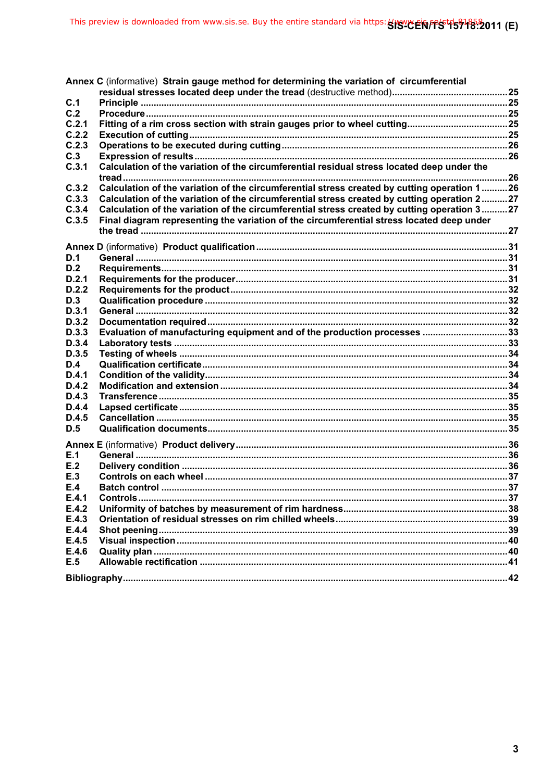|       | Annex C (informative) Strain gauge method for determining the variation of circumferential  |  |
|-------|---------------------------------------------------------------------------------------------|--|
|       |                                                                                             |  |
| C.1   |                                                                                             |  |
| C.2   |                                                                                             |  |
| C.2.1 |                                                                                             |  |
| C.2.2 |                                                                                             |  |
| C.2.3 |                                                                                             |  |
| C.3   |                                                                                             |  |
| C.3.1 | Calculation of the variation of the circumferential residual stress located deep under the  |  |
| C.3.2 | Calculation of the variation of the circumferential stress created by cutting operation 126 |  |
| C.3.3 | Calculation of the variation of the circumferential stress created by cutting operation 227 |  |
| C.3.4 | Calculation of the variation of the circumferential stress created by cutting operation 327 |  |
| C.3.5 | Final diagram representing the variation of the circumferential stress located deep under   |  |
|       |                                                                                             |  |
|       |                                                                                             |  |
|       |                                                                                             |  |
| D.1   |                                                                                             |  |
| D.2   |                                                                                             |  |
| D.2.1 |                                                                                             |  |
| D.2.2 |                                                                                             |  |
| D.3   |                                                                                             |  |
| D.3.1 |                                                                                             |  |
| D.3.2 |                                                                                             |  |
| D.3.3 | Evaluation of manufacturing equipment and of the production processes 33                    |  |
| D.3.4 |                                                                                             |  |
| D.3.5 |                                                                                             |  |
| D.4   |                                                                                             |  |
| D.4.1 |                                                                                             |  |
| D.4.2 |                                                                                             |  |
| D.4.3 |                                                                                             |  |
| D.4.4 |                                                                                             |  |
| D.4.5 |                                                                                             |  |
| D.5   |                                                                                             |  |
|       |                                                                                             |  |
| E.1   |                                                                                             |  |
| E.2   |                                                                                             |  |
| E.3   |                                                                                             |  |
| E.4   |                                                                                             |  |
| E.4.1 |                                                                                             |  |
| E.4.2 |                                                                                             |  |
| E.4.3 |                                                                                             |  |
| E.4.4 |                                                                                             |  |
| E.4.5 |                                                                                             |  |
| E.4.6 |                                                                                             |  |
| E.5   |                                                                                             |  |
|       |                                                                                             |  |
|       |                                                                                             |  |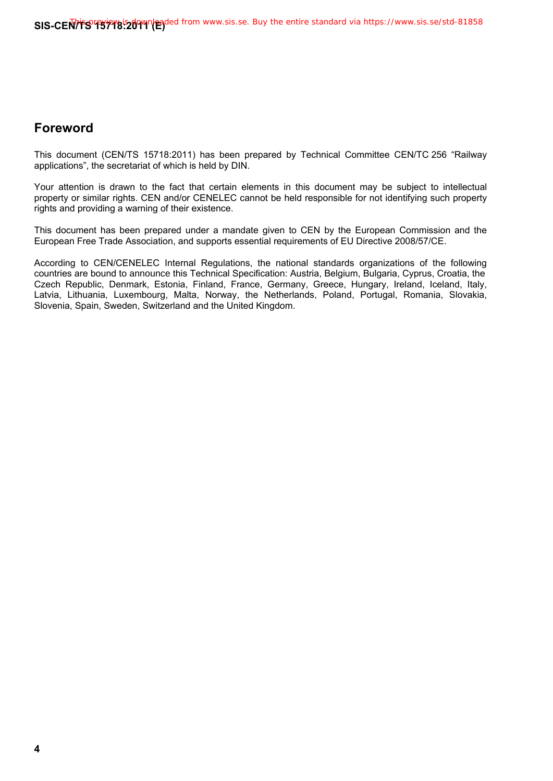## **Foreword**

This document (CEN/TS 15718:2011) has been prepared by Technical Committee CEN/TC 256 "Railway applications", the secretariat of which is held by DIN.

Your attention is drawn to the fact that certain elements in this document may be subject to intellectual property or similar rights. CEN and/or CENELEC cannot be held responsible for not identifying such property rights and providing a warning of their existence.

This document has been prepared under a mandate given to CEN by the European Commission and the European Free Trade Association, and supports essential requirements of EU Directive 2008/57/CE.

According to CEN/CENELEC Internal Regulations, the national standards organizations of the following countries are bound to announce this Technical Specification: Austria, Belgium, Bulgaria, Cyprus, Croatia, the Czech Republic, Denmark, Estonia, Finland, France, Germany, Greece, Hungary, Ireland, Iceland, Italy, Latvia, Lithuania, Luxembourg, Malta, Norway, the Netherlands, Poland, Portugal, Romania, Slovakia, Slovenia, Spain, Sweden, Switzerland and the United Kingdom.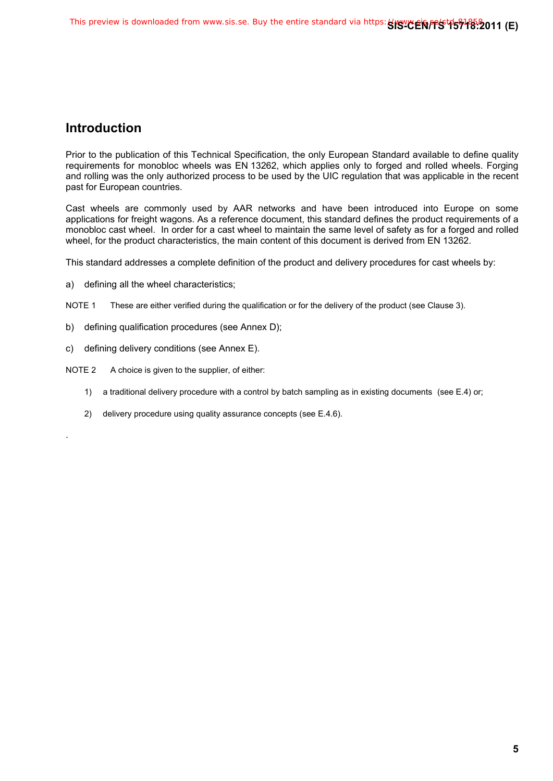## **Introduction**

.

Prior to the publication of this Technical Specification, the only European Standard available to define quality requirements for monobloc wheels was EN 13262, which applies only to forged and rolled wheels. Forging and rolling was the only authorized process to be used by the UIC regulation that was applicable in the recent past for European countries.

Cast wheels are commonly used by AAR networks and have been introduced into Europe on some applications for freight wagons. As a reference document, this standard defines the product requirements of a monobloc cast wheel. In order for a cast wheel to maintain the same level of safety as for a forged and rolled wheel, for the product characteristics, the main content of this document is derived from EN 13262.

This standard addresses a complete definition of the product and delivery procedures for cast wheels by:

- a) defining all the wheel characteristics;
- NOTE 1 These are either verified during the qualification or for the delivery of the product (see Clause 3).
- b) defining qualification procedures (see Annex D);
- c) defining delivery conditions (see Annex E).
- NOTE 2 A choice is given to the supplier, of either:
	- 1) a traditional delivery procedure with a control by batch sampling as in existing documents (see E.4) or;
	- 2) delivery procedure using quality assurance concepts (see E.4.6).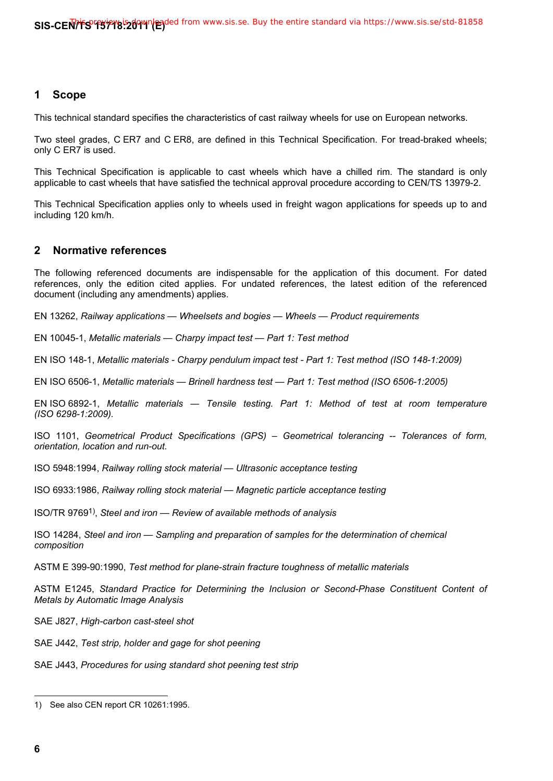## **1 Scope**

This technical standard specifies the characteristics of cast railway wheels for use on European networks.

Two steel grades, C ER7 and C ER8, are defined in this Technical Specification. For tread-braked wheels; only C ER7 is used.

This Technical Specification is applicable to cast wheels which have a chilled rim. The standard is only applicable to cast wheels that have satisfied the technical approval procedure according to CEN/TS 13979-2.

This Technical Specification applies only to wheels used in freight wagon applications for speeds up to and including 120 km/h.

## **2 Normative references**

The following referenced documents are indispensable for the application of this document. For dated references, only the edition cited applies. For undated references, the latest edition of the referenced document (including any amendments) applies.

EN 13262, *Railway applications — Wheelsets and bogies — Wheels — Product requirements* 

EN 10045-1, *Metallic materials — Charpy impact test — Part 1: Test method* 

EN ISO 148-1, *Metallic materials - Charpy pendulum impact test - Part 1: Test method (ISO 148-1:2009)*

EN ISO 6506-1, *Metallic materials — Brinell hardness test — Part 1: Test method (ISO 6506-1:2005)*

EN ISO 6892-1, *Metallic materials ― Tensile testing. Part 1: Method of test at room temperature (ISO 6298-1:2009).* 

ISO 1101, *Geometrical Product Specifications (GPS) – Geometrical tolerancing -- Tolerances of form, orientation, location and run-out.* 

ISO 5948:1994, *Railway rolling stock material — Ultrasonic acceptance testing*

ISO 6933:1986, *Railway rolling stock material — Magnetic particle acceptance testing*

ISO/TR 97691), *Steel and iron — Review of available methods of analysis* 

ISO 14284, *Steel and iron — Sampling and preparation of samples for the determination of chemical composition* 

ASTM E 399-90:1990, *Test method for plane-strain fracture toughness of metallic materials*

ASTM E1245, *Standard Practice for Determining the Inclusion or Second-Phase Constituent Content of Metals by Automatic Image Analysis* 

SAE J827, *High-carbon cast-steel shot*

SAE J442, *Test strip, holder and gage for shot peening*

SAE J443, *Procedures for using standard shot peening test strip*

l

<sup>1)</sup> See also CEN report CR 10261:1995.